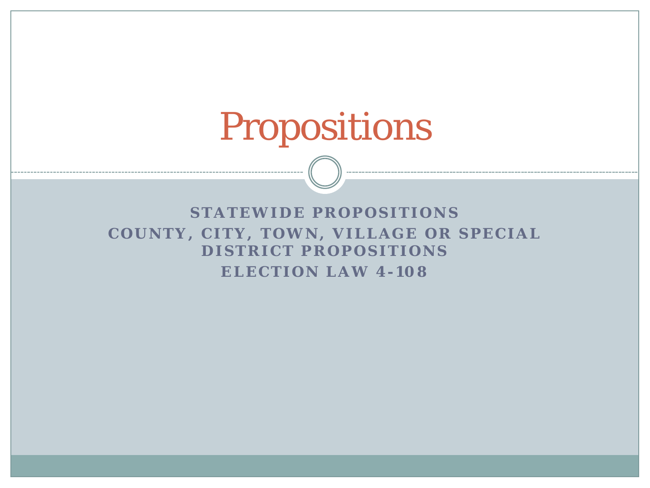## Propositions

**STATEWIDE PROPOSITIONS COUNTY, CITY, TOWN, VILLAGE OR SPECIAL DISTRICT PROPOSITIONS ELECTION LAW 4- 108**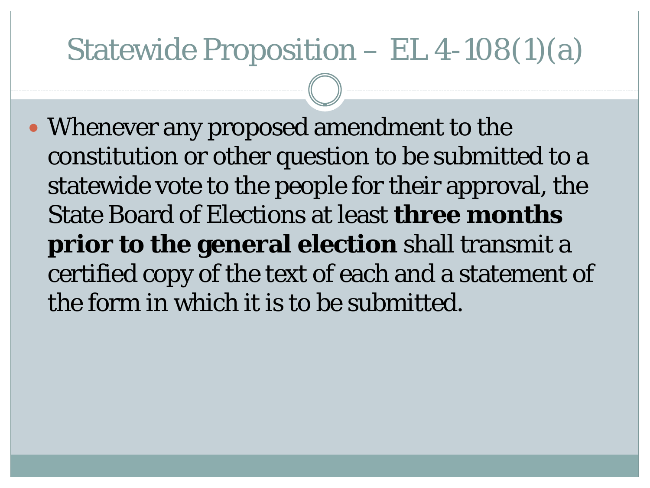## Statewide Proposition – EL 4-108(1)(a)

 Whenever any proposed amendment to the constitution or other question to be submitted to a statewide vote to the people for their approval, the State Board of Elections at least **three months prior to the general election** shall transmit a certified copy of the text of each and a statement of the form in which it is to be submitted.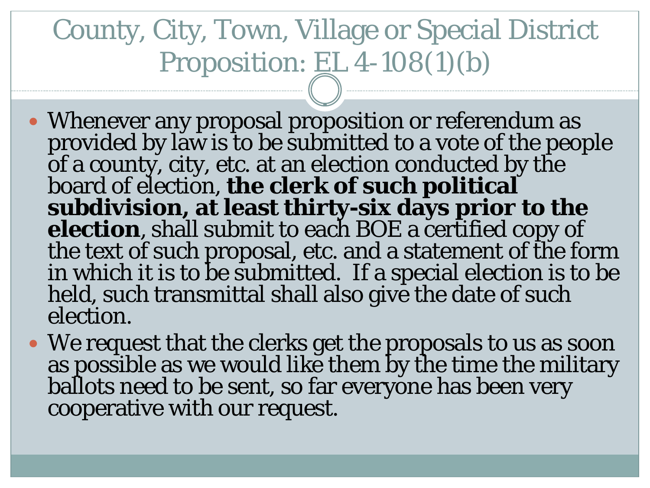## County, City, Town, Village or Special District Proposition: EL 4-108(1)(b)

- Whenever any proposal proposition or referendum as provided by law is to be submitted to a vote of the people of a county, city, etc. at an election conducted by the board of election, **the clerk of such political subdivision, at least thirty-six days prior to the election**, shall submit to each BOE a certified copy of the text of such proposal, etc. and a statement of the form in which it is to be submitted. If a special election is to be held, such transmittal shall also give the date of such election.
- We request that the clerks get the proposals to us as soon as possible as we would like them by the time the military ballots need to be sent, so far everyone has been very cooperative with our request.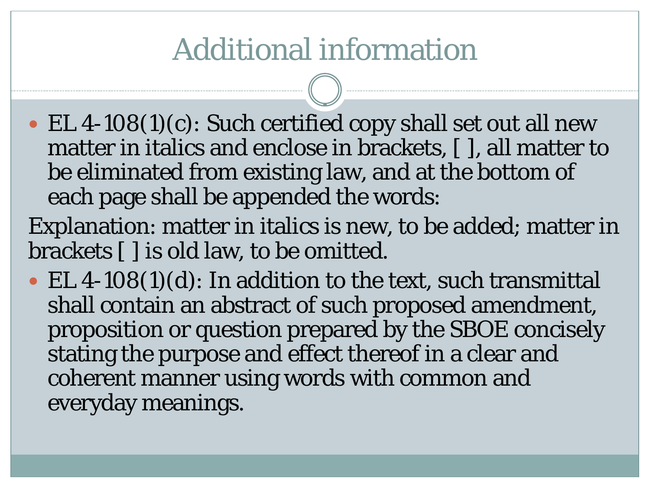## Additional information

 EL 4-108(1)(c): Such certified copy shall set out all new matter in italics and enclose in brackets, [ ], all matter to be eliminated from existing law, and at the bottom of each page shall be appended the words:

Explanation: matter in italics is new, to be added; matter in brackets [ ] is old law, to be omitted.

• EL 4-108(1)(d): In addition to the text, such transmittal shall contain an abstract of such proposed amendment, proposition or question prepared by the SBOE concisely stating the purpose and effect thereof in a clear and coherent manner using words with common and everyday meanings.